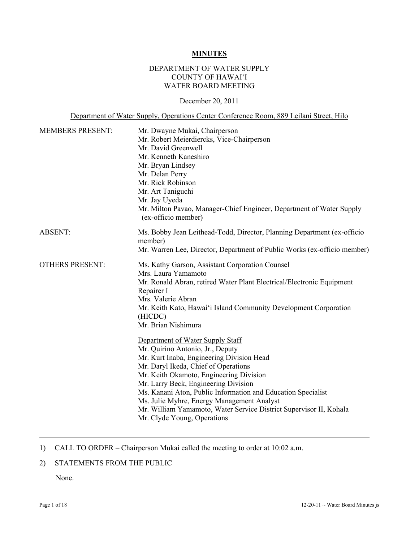#### **MINUTES**

### DEPARTMENT OF WATER SUPPLY COUNTY OF HAWAI'I WATER BOARD MEETING

#### December 20, 2011

Department of Water Supply, Operations Center Conference Room, 889 Leilani Street, Hilo

| <b>MEMBERS PRESENT:</b> | Mr. Dwayne Mukai, Chairperson                                                               |  |  |
|-------------------------|---------------------------------------------------------------------------------------------|--|--|
|                         | Mr. Robert Meierdiercks, Vice-Chairperson                                                   |  |  |
|                         | Mr. David Greenwell                                                                         |  |  |
|                         | Mr. Kenneth Kaneshiro                                                                       |  |  |
|                         | Mr. Bryan Lindsey                                                                           |  |  |
|                         | Mr. Delan Perry                                                                             |  |  |
|                         | Mr. Rick Robinson                                                                           |  |  |
|                         | Mr. Art Taniguchi                                                                           |  |  |
|                         | Mr. Jay Uyeda                                                                               |  |  |
|                         | Mr. Milton Pavao, Manager-Chief Engineer, Department of Water Supply<br>(ex-officio member) |  |  |
| <b>ABSENT:</b>          | Ms. Bobby Jean Leithead-Todd, Director, Planning Department (ex-officio<br>member)          |  |  |
|                         | Mr. Warren Lee, Director, Department of Public Works (ex-officio member)                    |  |  |
| <b>OTHERS PRESENT:</b>  | Ms. Kathy Garson, Assistant Corporation Counsel                                             |  |  |
|                         | Mrs. Laura Yamamoto                                                                         |  |  |
|                         | Mr. Ronald Abran, retired Water Plant Electrical/Electronic Equipment<br>Repairer I         |  |  |
|                         | Mrs. Valerie Abran                                                                          |  |  |
|                         | Mr. Keith Kato, Hawai'i Island Community Development Corporation<br>(HICDC)                 |  |  |
|                         | Mr. Brian Nishimura                                                                         |  |  |
|                         | Department of Water Supply Staff                                                            |  |  |
|                         | Mr. Quirino Antonio, Jr., Deputy                                                            |  |  |
|                         | Mr. Kurt Inaba, Engineering Division Head                                                   |  |  |
|                         | Mr. Daryl Ikeda, Chief of Operations                                                        |  |  |
|                         | Mr. Keith Okamoto, Engineering Division                                                     |  |  |
|                         | Mr. Larry Beck, Engineering Division                                                        |  |  |
|                         | Ms. Kanani Aton, Public Information and Education Specialist                                |  |  |
|                         | Ms. Julie Myhre, Energy Management Analyst                                                  |  |  |
|                         | Mr. William Yamamoto, Water Service District Supervisor II, Kohala                          |  |  |
|                         | Mr. Clyde Young, Operations                                                                 |  |  |

# 1) CALL TO ORDER – Chairperson Mukai called the meeting to order at 10:02 a.m.

# 2) STATEMENTS FROM THE PUBLIC

None.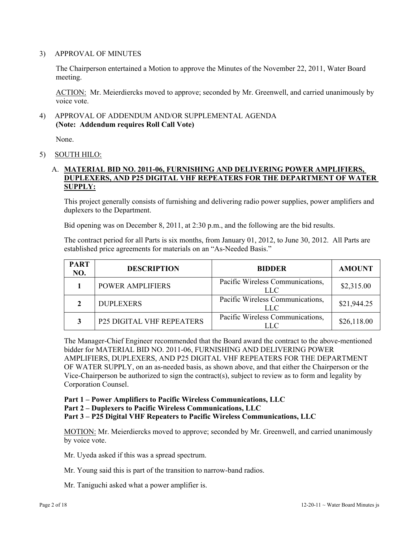#### 3) APPROVAL OF MINUTES

The Chairperson entertained a Motion to approve the Minutes of the November 22, 2011, Water Board meeting.

ACTION: Mr. Meierdiercks moved to approve; seconded by Mr. Greenwell, and carried unanimously by voice vote.

### 4) APPROVAL OF ADDENDUM AND/OR SUPPLEMENTAL AGENDA **(Note: Addendum requires Roll Call Vote)**

None.

5) SOUTH HILO:

### A. **MATERIAL BID NO. 2011-06, FURNISHING AND DELIVERING POWER AMPLIFIERS, DUPLEXERS, AND P25 DIGITAL VHF REPEATERS FOR THE DEPARTMENT OF WATER SUPPLY:**

This project generally consists of furnishing and delivering radio power supplies, power amplifiers and duplexers to the Department.

Bid opening was on December 8, 2011, at 2:30 p.m., and the following are the bid results.

The contract period for all Parts is six months, from January 01, 2012, to June 30, 2012. All Parts are established price agreements for materials on an "As-Needed Basis."

| <b>PART</b><br>NO. | <b>DESCRIPTION</b>               | <b>BIDDER</b>                           | <b>AMOUNT</b> |
|--------------------|----------------------------------|-----------------------------------------|---------------|
|                    | <b>POWER AMPLIFIERS</b>          | Pacific Wireless Communications,<br>LLC | \$2,315.00    |
|                    | <b>DUPLEXERS</b>                 | Pacific Wireless Communications,<br>LLC | \$21,944.25   |
| 3                  | <b>P25 DIGITAL VHF REPEATERS</b> | Pacific Wireless Communications,<br>LLC | \$26,118.00   |

The Manager-Chief Engineer recommended that the Board award the contract to the above-mentioned bidder for MATERIAL BID NO. 2011-06, FURNISHING AND DELIVERING POWER AMPLIFIERS, DUPLEXERS, AND P25 DIGITAL VHF REPEATERS FOR THE DEPARTMENT OF WATER SUPPLY, on an as-needed basis, as shown above, and that either the Chairperson or the Vice-Chairperson be authorized to sign the contract(s), subject to review as to form and legality by Corporation Counsel.

**Part 1 – Power Amplifiers to Pacific Wireless Communications, LLC** 

**Part 2 – Duplexers to Pacific Wireless Communications, LLC** 

**Part 3 – P25 Digital VHF Repeaters to Pacific Wireless Communications, LLC**

MOTION: Mr. Meierdiercks moved to approve; seconded by Mr. Greenwell, and carried unanimously by voice vote.

Mr. Uyeda asked if this was a spread spectrum.

Mr. Young said this is part of the transition to narrow-band radios.

Mr. Taniguchi asked what a power amplifier is.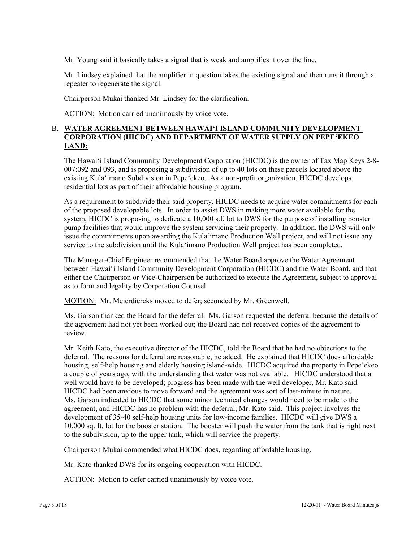Mr. Young said it basically takes a signal that is weak and amplifies it over the line.

Mr. Lindsey explained that the amplifier in question takes the existing signal and then runs it through a repeater to regenerate the signal.

Chairperson Mukai thanked Mr. Lindsey for the clarification.

ACTION: Motion carried unanimously by voice vote.

# B. **WATER AGREEMENT BETWEEN HAWAI'I ISLAND COMMUNITY DEVELOPMENT CORPORATION (HICDC) AND DEPARTMENT OF WATER SUPPLY ON PEPE'EKEO LAND:**

The Hawai'i Island Community Development Corporation (HICDC) is the owner of Tax Map Keys 2-8- 007:092 and 093, and is proposing a subdivision of up to 40 lots on these parcels located above the existing Kula'imano Subdivision in Pepe'ekeo. As a non-profit organization, HICDC develops residential lots as part of their affordable housing program.

As a requirement to subdivide their said property, HICDC needs to acquire water commitments for each of the proposed developable lots. In order to assist DWS in making more water available for the system, HICDC is proposing to dedicate a 10,000 s.f. lot to DWS for the purpose of installing booster pump facilities that would improve the system servicing their property. In addition, the DWS will only issue the commitments upon awarding the Kula'imano Production Well project, and will not issue any service to the subdivision until the Kula'imano Production Well project has been completed.

The Manager-Chief Engineer recommended that the Water Board approve the Water Agreement between Hawai'i Island Community Development Corporation (HICDC) and the Water Board, and that either the Chairperson or Vice-Chairperson be authorized to execute the Agreement, subject to approval as to form and legality by Corporation Counsel.

MOTION: Mr. Meierdiercks moved to defer; seconded by Mr. Greenwell.

Ms. Garson thanked the Board for the deferral. Ms. Garson requested the deferral because the details of the agreement had not yet been worked out; the Board had not received copies of the agreement to review.

Mr. Keith Kato, the executive director of the HICDC, told the Board that he had no objections to the deferral. The reasons for deferral are reasonable, he added. He explained that HICDC does affordable housing, self-help housing and elderly housing island-wide. HICDC acquired the property in Pepe'ekeo a couple of years ago, with the understanding that water was not available. HICDC understood that a well would have to be developed; progress has been made with the well developer, Mr. Kato said. HICDC had been anxious to move forward and the agreement was sort of last-minute in nature. Ms. Garson indicated to HICDC that some minor technical changes would need to be made to the agreement, and HICDC has no problem with the deferral, Mr. Kato said. This project involves the development of 35-40 self-help housing units for low-income families. HICDC will give DWS a 10,000 sq. ft. lot for the booster station. The booster will push the water from the tank that is right next to the subdivision, up to the upper tank, which will service the property.

Chairperson Mukai commended what HICDC does, regarding affordable housing.

Mr. Kato thanked DWS for its ongoing cooperation with HICDC.

ACTION: Motion to defer carried unanimously by voice vote.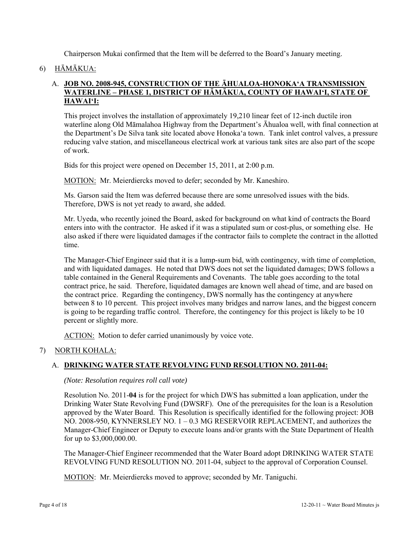Chairperson Mukai confirmed that the Item will be deferred to the Board's January meeting.

### 6) HĀMĀKUA:

### A. **JOB NO. 2008-945, CONSTRUCTION OF THE ĀHUALOA-HONOKA'A TRANSMISSION WATERLINE – PHASE 1, DISTRICT OF HĀMĀKUA, COUNTY OF HAWAI'I, STATE OF HAWAI'I:**

This project involves the installation of approximately 19,210 linear feet of 12-inch ductile iron waterline along Old Māmalahoa Highway from the Department's Āhualoa well, with final connection at the Department's De Silva tank site located above Honoka'a town. Tank inlet control valves, a pressure reducing valve station, and miscellaneous electrical work at various tank sites are also part of the scope of work.

Bids for this project were opened on December 15, 2011, at 2:00 p.m.

MOTION: Mr. Meierdiercks moved to defer; seconded by Mr. Kaneshiro.

Ms. Garson said the Item was deferred because there are some unresolved issues with the bids. Therefore, DWS is not yet ready to award, she added.

Mr. Uyeda, who recently joined the Board, asked for background on what kind of contracts the Board enters into with the contractor. He asked if it was a stipulated sum or cost-plus, or something else. He also asked if there were liquidated damages if the contractor fails to complete the contract in the allotted time.

The Manager-Chief Engineer said that it is a lump-sum bid, with contingency, with time of completion, and with liquidated damages. He noted that DWS does not set the liquidated damages; DWS follows a table contained in the General Requirements and Covenants. The table goes according to the total contract price, he said. Therefore, liquidated damages are known well ahead of time, and are based on the contract price. Regarding the contingency, DWS normally has the contingency at anywhere between 8 to 10 percent. This project involves many bridges and narrow lanes, and the biggest concern is going to be regarding traffic control. Therefore, the contingency for this project is likely to be 10 percent or slightly more.

ACTION: Motion to defer carried unanimously by voice vote.

### 7) NORTH KOHALA:

### A. **DRINKING WATER STATE REVOLVING FUND RESOLUTION NO. 2011-04:**

*(Note: Resolution requires roll call vote)* 

Resolution No. 2011-**04** is for the project for which DWS has submitted a loan application, under the Drinking Water State Revolving Fund (DWSRF). One of the prerequisites for the loan is a Resolution approved by the Water Board. This Resolution is specifically identified for the following project: JOB NO. 2008-950, KYNNERSLEY NO. 1 – 0.3 MG RESERVOIR REPLACEMENT, and authorizes the Manager-Chief Engineer or Deputy to execute loans and/or grants with the State Department of Health for up to \$3,000,000.00.

The Manager-Chief Engineer recommended that the Water Board adopt DRINKING WATER STATE REVOLVING FUND RESOLUTION NO. 2011-04, subject to the approval of Corporation Counsel.

MOTION: Mr. Meierdiercks moved to approve; seconded by Mr. Taniguchi.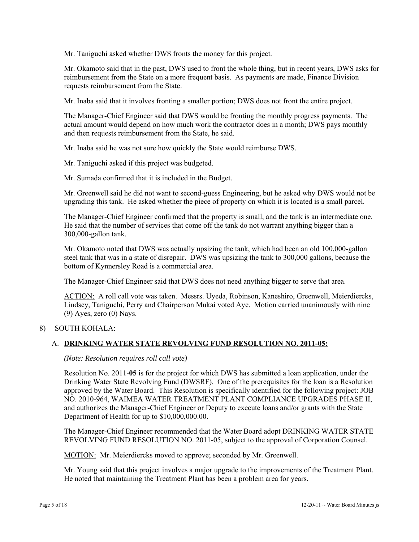Mr. Taniguchi asked whether DWS fronts the money for this project.

Mr. Okamoto said that in the past, DWS used to front the whole thing, but in recent years, DWS asks for reimbursement from the State on a more frequent basis. As payments are made, Finance Division requests reimbursement from the State.

Mr. Inaba said that it involves fronting a smaller portion; DWS does not front the entire project.

The Manager-Chief Engineer said that DWS would be fronting the monthly progress payments. The actual amount would depend on how much work the contractor does in a month; DWS pays monthly and then requests reimbursement from the State, he said.

Mr. Inaba said he was not sure how quickly the State would reimburse DWS.

Mr. Taniguchi asked if this project was budgeted.

Mr. Sumada confirmed that it is included in the Budget.

Mr. Greenwell said he did not want to second-guess Engineering, but he asked why DWS would not be upgrading this tank. He asked whether the piece of property on which it is located is a small parcel.

The Manager-Chief Engineer confirmed that the property is small, and the tank is an intermediate one. He said that the number of services that come off the tank do not warrant anything bigger than a 300,000-gallon tank.

Mr. Okamoto noted that DWS was actually upsizing the tank, which had been an old 100,000-gallon steel tank that was in a state of disrepair. DWS was upsizing the tank to 300,000 gallons, because the bottom of Kynnersley Road is a commercial area.

The Manager-Chief Engineer said that DWS does not need anything bigger to serve that area.

ACTION: A roll call vote was taken. Messrs. Uyeda, Robinson, Kaneshiro, Greenwell, Meierdiercks, Lindsey, Taniguchi, Perry and Chairperson Mukai voted Aye. Motion carried unanimously with nine  $(9)$  Ayes, zero  $(0)$  Nays.

### 8) SOUTH KOHALA:

### A. **DRINKING WATER STATE REVOLVING FUND RESOLUTION NO. 2011-05:**

#### *(Note: Resolution requires roll call vote)*

Resolution No. 2011-**05** is for the project for which DWS has submitted a loan application, under the Drinking Water State Revolving Fund (DWSRF). One of the prerequisites for the loan is a Resolution approved by the Water Board. This Resolution is specifically identified for the following project: JOB NO. 2010-964, WAIMEA WATER TREATMENT PLANT COMPLIANCE UPGRADES PHASE II, and authorizes the Manager-Chief Engineer or Deputy to execute loans and/or grants with the State Department of Health for up to \$10,000,000.00.

The Manager-Chief Engineer recommended that the Water Board adopt DRINKING WATER STATE REVOLVING FUND RESOLUTION NO. 2011-05, subject to the approval of Corporation Counsel.

MOTION: Mr. Meierdiercks moved to approve; seconded by Mr. Greenwell.

Mr. Young said that this project involves a major upgrade to the improvements of the Treatment Plant. He noted that maintaining the Treatment Plant has been a problem area for years.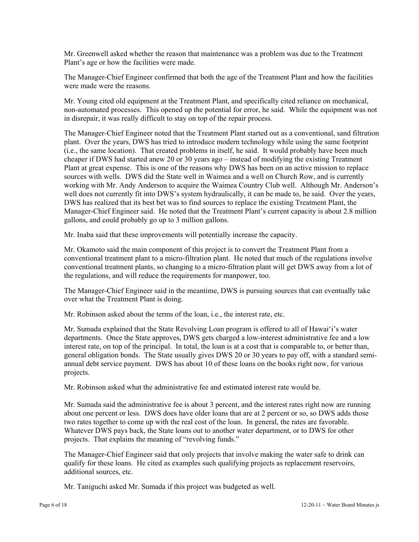Mr. Greenwell asked whether the reason that maintenance was a problem was due to the Treatment Plant's age or how the facilities were made.

The Manager-Chief Engineer confirmed that both the age of the Treatment Plant and how the facilities were made were the reasons.

Mr. Young cited old equipment at the Treatment Plant, and specifically cited reliance on mechanical, non-automated processes. This opened up the potential for error, he said. While the equipment was not in disrepair, it was really difficult to stay on top of the repair process.

The Manager-Chief Engineer noted that the Treatment Plant started out as a conventional, sand filtration plant. Over the years, DWS has tried to introduce modern technology while using the same footprint (i.e., the same location). That created problems in itself, he said. It would probably have been much cheaper if DWS had started anew 20 or 30 years ago – instead of modifying the existing Treatment Plant at great expense. This is one of the reasons why DWS has been on an active mission to replace sources with wells. DWS did the State well in Waimea and a well on Church Row, and is currently working with Mr. Andy Anderson to acquire the Waimea Country Club well. Although Mr. Anderson's well does not currently fit into DWS's system hydraulically, it can be made to, he said. Over the years, DWS has realized that its best bet was to find sources to replace the existing Treatment Plant, the Manager-Chief Engineer said. He noted that the Treatment Plant's current capacity is about 2.8 million gallons, and could probably go up to 3 million gallons.

Mr. Inaba said that these improvements will potentially increase the capacity.

Mr. Okamoto said the main component of this project is to convert the Treatment Plant from a conventional treatment plant to a micro-filtration plant. He noted that much of the regulations involve conventional treatment plants, so changing to a micro-filtration plant will get DWS away from a lot of the regulations, and will reduce the requirements for manpower, too.

The Manager-Chief Engineer said in the meantime, DWS is pursuing sources that can eventually take over what the Treatment Plant is doing.

Mr. Robinson asked about the terms of the loan, i.e., the interest rate, etc.

Mr. Sumada explained that the State Revolving Loan program is offered to all of Hawai'i's water departments. Once the State approves, DWS gets charged a low-interest administrative fee and a low interest rate, on top of the principal. In total, the loan is at a cost that is comparable to, or better than, general obligation bonds. The State usually gives DWS 20 or 30 years to pay off, with a standard semiannual debt service payment. DWS has about 10 of these loans on the books right now, for various projects.

Mr. Robinson asked what the administrative fee and estimated interest rate would be.

Mr. Sumada said the administrative fee is about 3 percent, and the interest rates right now are running about one percent or less. DWS does have older loans that are at 2 percent or so, so DWS adds those two rates together to come up with the real cost of the loan. In general, the rates are favorable. Whatever DWS pays back, the State loans out to another water department, or to DWS for other projects. That explains the meaning of "revolving funds."

The Manager-Chief Engineer said that only projects that involve making the water safe to drink can qualify for these loans. He cited as examples such qualifying projects as replacement reservoirs, additional sources, etc.

Mr. Taniguchi asked Mr. Sumada if this project was budgeted as well.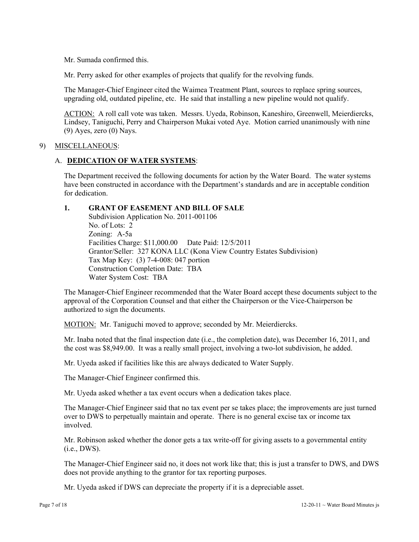Mr. Sumada confirmed this.

Mr. Perry asked for other examples of projects that qualify for the revolving funds.

The Manager-Chief Engineer cited the Waimea Treatment Plant, sources to replace spring sources, upgrading old, outdated pipeline, etc. He said that installing a new pipeline would not qualify.

ACTION: A roll call vote was taken. Messrs. Uyeda, Robinson, Kaneshiro, Greenwell, Meierdiercks, Lindsey, Taniguchi, Perry and Chairperson Mukai voted Aye. Motion carried unanimously with nine  $(9)$  Ayes, zero  $(0)$  Nays.

#### 9) MISCELLANEOUS:

## A. **DEDICATION OF WATER SYSTEMS**:

The Department received the following documents for action by the Water Board. The water systems have been constructed in accordance with the Department's standards and are in acceptable condition for dedication.

### **1. GRANT OF EASEMENT AND BILL OF SALE**

 Subdivision Application No. 2011-001106 No. of Lots: 2 Zoning: A-5a Facilities Charge: \$11,000.00 Date Paid: 12/5/2011 Grantor/Seller: 327 KONA LLC (Kona View Country Estates Subdivision) Tax Map Key: (3) 7-4-008: 047 portion Construction Completion Date: TBA Water System Cost: TBA

The Manager-Chief Engineer recommended that the Water Board accept these documents subject to the approval of the Corporation Counsel and that either the Chairperson or the Vice-Chairperson be authorized to sign the documents.

MOTION: Mr. Taniguchi moved to approve; seconded by Mr. Meierdiercks.

Mr. Inaba noted that the final inspection date (i.e., the completion date), was December 16, 2011, and the cost was \$8,949.00. It was a really small project, involving a two-lot subdivision, he added.

Mr. Uyeda asked if facilities like this are always dedicated to Water Supply.

The Manager-Chief Engineer confirmed this.

Mr. Uyeda asked whether a tax event occurs when a dedication takes place.

The Manager-Chief Engineer said that no tax event per se takes place; the improvements are just turned over to DWS to perpetually maintain and operate. There is no general excise tax or income tax involved.

Mr. Robinson asked whether the donor gets a tax write-off for giving assets to a governmental entity (i.e., DWS).

The Manager-Chief Engineer said no, it does not work like that; this is just a transfer to DWS, and DWS does not provide anything to the grantor for tax reporting purposes.

Mr. Uyeda asked if DWS can depreciate the property if it is a depreciable asset.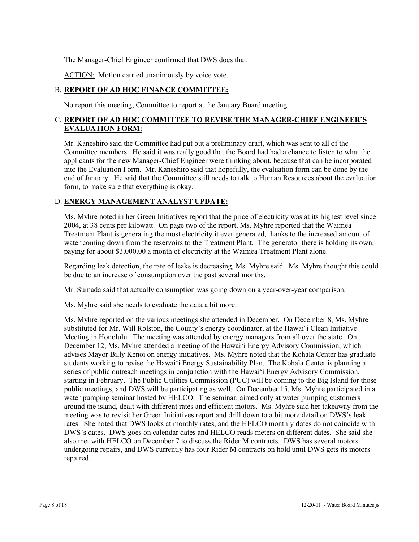The Manager-Chief Engineer confirmed that DWS does that.

ACTION: Motion carried unanimously by voice vote.

# B. **REPORT OF AD HOC FINANCE COMMITTEE:**

No report this meeting; Committee to report at the January Board meeting.

# C. **REPORT OF AD HOC COMMITTEE TO REVISE THE MANAGER-CHIEF ENGINEER'S EVALUATION FORM:**

Mr. Kaneshiro said the Committee had put out a preliminary draft, which was sent to all of the Committee members. He said it was really good that the Board had had a chance to listen to what the applicants for the new Manager-Chief Engineer were thinking about, because that can be incorporated into the Evaluation Form. Mr. Kaneshiro said that hopefully, the evaluation form can be done by the end of January. He said that the Committee still needs to talk to Human Resources about the evaluation form, to make sure that everything is okay.

# D. **ENERGY MANAGEMENT ANALYST UPDATE:**

Ms. Myhre noted in her Green Initiatives report that the price of electricity was at its highest level since 2004, at 38 cents per kilowatt. On page two of the report, Ms. Myhre reported that the Waimea Treatment Plant is generating the most electricity it ever generated, thanks to the increased amount of water coming down from the reservoirs to the Treatment Plant. The generator there is holding its own, paying for about \$3,000.00 a month of electricity at the Waimea Treatment Plant alone.

Regarding leak detection, the rate of leaks is decreasing, Ms. Myhre said. Ms. Myhre thought this could be due to an increase of consumption over the past several months.

Mr. Sumada said that actually consumption was going down on a year-over-year comparison.

Ms. Myhre said she needs to evaluate the data a bit more.

Ms. Myhre reported on the various meetings she attended in December. On December 8, Ms. Myhre substituted for Mr. Will Rolston, the County's energy coordinator, at the Hawai'i Clean Initiative Meeting in Honolulu. The meeting was attended by energy managers from all over the state. On December 12, Ms. Myhre attended a meeting of the Hawai'i Energy Advisory Commission, which advises Mayor Billy Kenoi on energy initiatives. Ms. Myhre noted that the Kohala Center has graduate students working to revise the Hawai'i Energy Sustainability Plan. The Kohala Center is planning a series of public outreach meetings in conjunction with the Hawai'i Energy Advisory Commission, starting in February. The Public Utilities Commission (PUC) will be coming to the Big Island for those public meetings, and DWS will be participating as well. On December 15, Ms. Myhre participated in a water pumping seminar hosted by HELCO. The seminar, aimed only at water pumping customers around the island, dealt with different rates and efficient motors. Ms. Myhre said her takeaway from the meeting was to revisit her Green Initiatives report and drill down to a bit more detail on DWS's leak rates. She noted that DWS looks at monthly rates, and the HELCO monthly **d**ates do not coincide with DWS's dates. DWS goes on calendar dates and HELCO reads meters on different dates. She said she also met with HELCO on December 7 to discuss the Rider M contracts. DWS has several motors undergoing repairs, and DWS currently has four Rider M contracts on hold until DWS gets its motors repaired.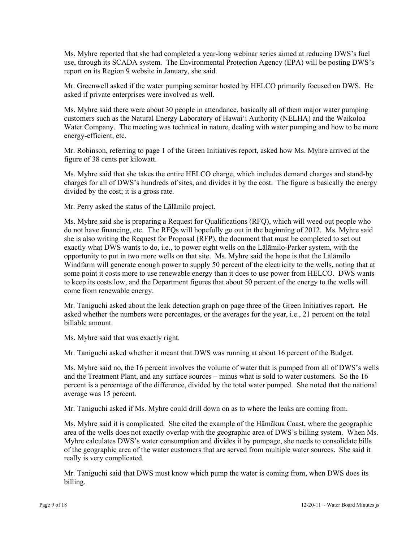Ms. Myhre reported that she had completed a year-long webinar series aimed at reducing DWS's fuel use, through its SCADA system. The Environmental Protection Agency (EPA) will be posting DWS's report on its Region 9 website in January, she said.

Mr. Greenwell asked if the water pumping seminar hosted by HELCO primarily focused on DWS. He asked if private enterprises were involved as well.

Ms. Myhre said there were about 30 people in attendance, basically all of them major water pumping customers such as the Natural Energy Laboratory of Hawai'i Authority (NELHA) and the Waikoloa Water Company. The meeting was technical in nature, dealing with water pumping and how to be more energy-efficient, etc.

Mr. Robinson, referring to page 1 of the Green Initiatives report, asked how Ms. Myhre arrived at the figure of 38 cents per kilowatt.

Ms. Myhre said that she takes the entire HELCO charge, which includes demand charges and stand-by charges for all of DWS's hundreds of sites, and divides it by the cost. The figure is basically the energy divided by the cost; it is a gross rate.

Mr. Perry asked the status of the Lālāmilo project.

Ms. Myhre said she is preparing a Request for Qualifications (RFQ), which will weed out people who do not have financing, etc. The RFQs will hopefully go out in the beginning of 2012. Ms. Myhre said she is also writing the Request for Proposal (RFP), the document that must be completed to set out exactly what DWS wants to do, i.e., to power eight wells on the Lālāmilo-Parker system, with the opportunity to put in two more wells on that site. Ms. Myhre said the hope is that the Lālāmilo Windfarm will generate enough power to supply 50 percent of the electricity to the wells, noting that at some point it costs more to use renewable energy than it does to use power from HELCO. DWS wants to keep its costs low, and the Department figures that about 50 percent of the energy to the wells will come from renewable energy.

Mr. Taniguchi asked about the leak detection graph on page three of the Green Initiatives report. He asked whether the numbers were percentages, or the averages for the year, i.e., 21 percent on the total billable amount.

Ms. Myhre said that was exactly right.

Mr. Taniguchi asked whether it meant that DWS was running at about 16 percent of the Budget.

Ms. Myhre said no, the 16 percent involves the volume of water that is pumped from all of DWS's wells and the Treatment Plant, and any surface sources – minus what is sold to water customers. So the 16 percent is a percentage of the difference, divided by the total water pumped. She noted that the national average was 15 percent.

Mr. Taniguchi asked if Ms. Myhre could drill down on as to where the leaks are coming from.

Ms. Myhre said it is complicated. She cited the example of the Hāmākua Coast, where the geographic area of the wells does not exactly overlap with the geographic area of DWS's billing system. When Ms. Myhre calculates DWS's water consumption and divides it by pumpage, she needs to consolidate bills of the geographic area of the water customers that are served from multiple water sources. She said it really is very complicated.

Mr. Taniguchi said that DWS must know which pump the water is coming from, when DWS does its billing.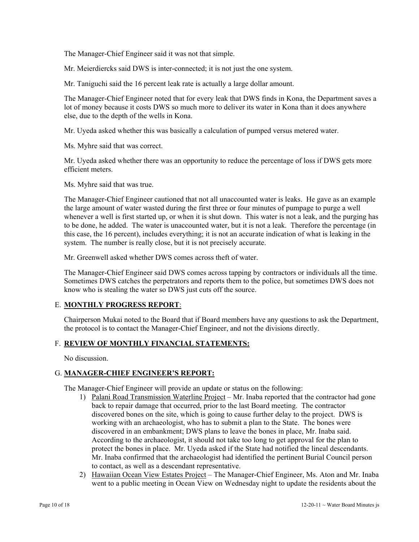The Manager-Chief Engineer said it was not that simple.

Mr. Meierdiercks said DWS is inter-connected; it is not just the one system.

Mr. Taniguchi said the 16 percent leak rate is actually a large dollar amount.

The Manager-Chief Engineer noted that for every leak that DWS finds in Kona, the Department saves a lot of money because it costs DWS so much more to deliver its water in Kona than it does anywhere else, due to the depth of the wells in Kona.

Mr. Uyeda asked whether this was basically a calculation of pumped versus metered water.

Ms. Myhre said that was correct.

Mr. Uyeda asked whether there was an opportunity to reduce the percentage of loss if DWS gets more efficient meters.

Ms. Myhre said that was true.

The Manager-Chief Engineer cautioned that not all unaccounted water is leaks. He gave as an example the large amount of water wasted during the first three or four minutes of pumpage to purge a well whenever a well is first started up, or when it is shut down. This water is not a leak, and the purging has to be done, he added. The water is unaccounted water, but it is not a leak. Therefore the percentage (in this case, the 16 percent), includes everything; it is not an accurate indication of what is leaking in the system. The number is really close, but it is not precisely accurate.

Mr. Greenwell asked whether DWS comes across theft of water.

The Manager-Chief Engineer said DWS comes across tapping by contractors or individuals all the time. Sometimes DWS catches the perpetrators and reports them to the police, but sometimes DWS does not know who is stealing the water so DWS just cuts off the source.

### E. **MONTHLY PROGRESS REPORT**:

Chairperson Mukai noted to the Board that if Board members have any questions to ask the Department, the protocol is to contact the Manager-Chief Engineer, and not the divisions directly.

### F. **REVIEW OF MONTHLY FINANCIAL STATEMENTS:**

No discussion.

### G. **MANAGER-CHIEF ENGINEER'S REPORT:**

The Manager-Chief Engineer will provide an update or status on the following:

- 1) Palani Road Transmission Waterline Project Mr. Inaba reported that the contractor had gone back to repair damage that occurred, prior to the last Board meeting. The contractor discovered bones on the site, which is going to cause further delay to the project. DWS is working with an archaeologist, who has to submit a plan to the State. The bones were discovered in an embankment; DWS plans to leave the bones in place, Mr. Inaba said. According to the archaeologist, it should not take too long to get approval for the plan to protect the bones in place. Mr. Uyeda asked if the State had notified the lineal descendants. Mr. Inaba confirmed that the archaeologist had identified the pertinent Burial Council person to contact, as well as a descendant representative.
- 2) Hawaiian Ocean View Estates Project The Manager-Chief Engineer, Ms. Aton and Mr. Inaba went to a public meeting in Ocean View on Wednesday night to update the residents about the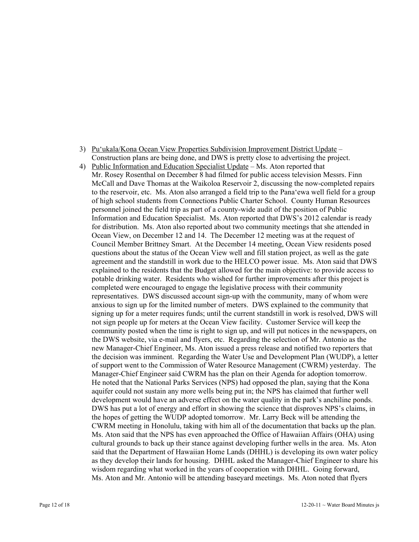- 3) Pu'ukala/Kona Ocean View Properties Subdivision Improvement District Update Construction plans are being done, and DWS is pretty close to advertising the project.
- 4) Public Information and Education Specialist Update Ms. Aton reported that Mr. Rosey Rosenthal on December 8 had filmed for public access television Messrs. Finn McCall and Dave Thomas at the Waikoloa Reservoir 2, discussing the now-completed repairs to the reservoir, etc. Ms. Aton also arranged a field trip to the Pana'ewa well field for a group of high school students from Connections Public Charter School. County Human Resources personnel joined the field trip as part of a county-wide audit of the position of Public Information and Education Specialist. Ms. Aton reported that DWS's 2012 calendar is ready for distribution. Ms. Aton also reported about two community meetings that she attended in Ocean View, on December 12 and 14. The December 12 meeting was at the request of Council Member Brittney Smart. At the December 14 meeting, Ocean View residents posed questions about the status of the Ocean View well and fill station project, as well as the gate agreement and the standstill in work due to the HELCO power issue. Ms. Aton said that DWS explained to the residents that the Budget allowed for the main objective: to provide access to potable drinking water. Residents who wished for further improvements after this project is completed were encouraged to engage the legislative process with their community representatives. DWS discussed account sign-up with the community, many of whom were anxious to sign up for the limited number of meters. DWS explained to the community that signing up for a meter requires funds; until the current standstill in work is resolved, DWS will not sign people up for meters at the Ocean View facility. Customer Service will keep the community posted when the time is right to sign up, and will put notices in the newspapers, on the DWS website, via e-mail and flyers, etc. Regarding the selection of Mr. Antonio as the new Manager-Chief Engineer, Ms. Aton issued a press release and notified two reporters that the decision was imminent. Regarding the Water Use and Development Plan (WUDP), a letter of support went to the Commission of Water Resource Management (CWRM) yesterday. The Manager-Chief Engineer said CWRM has the plan on their Agenda for adoption tomorrow. He noted that the National Parks Services (NPS) had opposed the plan, saying that the Kona aquifer could not sustain any more wells being put in; the NPS has claimed that further well development would have an adverse effect on the water quality in the park's anchiline ponds. DWS has put a lot of energy and effort in showing the science that disproves NPS's claims, in the hopes of getting the WUDP adopted tomorrow. Mr. Larry Beck will be attending the CWRM meeting in Honolulu, taking with him all of the documentation that backs up the plan. Ms. Aton said that the NPS has even approached the Office of Hawaiian Affairs (OHA) using cultural grounds to back up their stance against developing further wells in the area. Ms. Aton said that the Department of Hawaiian Home Lands (DHHL) is developing its own water policy as they develop their lands for housing. DHHL asked the Manager-Chief Engineer to share his wisdom regarding what worked in the years of cooperation with DHHL. Going forward, Ms. Aton and Mr. Antonio will be attending baseyard meetings. Ms. Aton noted that flyers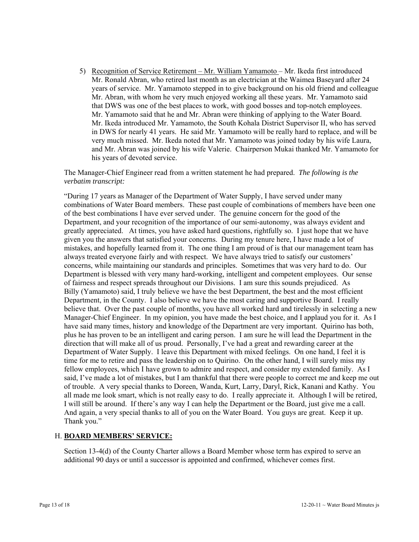5) Recognition of Service Retirement – Mr. William Yamamoto – Mr. Ikeda first introduced Mr. Ronald Abran, who retired last month as an electrician at the Waimea Baseyard after 24 years of service. Mr. Yamamoto stepped in to give background on his old friend and colleague Mr. Abran, with whom he very much enjoyed working all these years. Mr. Yamamoto said that DWS was one of the best places to work, with good bosses and top-notch employees. Mr. Yamamoto said that he and Mr. Abran were thinking of applying to the Water Board. Mr. Ikeda introduced Mr. Yamamoto, the South Kohala District Supervisor II, who has served in DWS for nearly 41 years. He said Mr. Yamamoto will be really hard to replace, and will be very much missed. Mr. Ikeda noted that Mr. Yamamoto was joined today by his wife Laura, and Mr. Abran was joined by his wife Valerie. Chairperson Mukai thanked Mr. Yamamoto for his years of devoted service.

The Manager-Chief Engineer read from a written statement he had prepared. *The following is the verbatim transcript:* 

"During 17 years as Manager of the Department of Water Supply, I have served under many combinations of Water Board members. These past couple of combinations of members have been one of the best combinations I have ever served under. The genuine concern for the good of the Department, and your recognition of the importance of our semi-autonomy, was always evident and greatly appreciated. At times, you have asked hard questions, rightfully so. I just hope that we have given you the answers that satisfied your concerns. During my tenure here, I have made a lot of mistakes, and hopefully learned from it. The one thing I am proud of is that our management team has always treated everyone fairly and with respect. We have always tried to satisfy our customers' concerns, while maintaining our standards and principles. Sometimes that was very hard to do. Our Department is blessed with very many hard-working, intelligent and competent employees. Our sense of fairness and respect spreads throughout our Divisions. I am sure this sounds prejudiced. As Billy (Yamamoto) said, I truly believe we have the best Department, the best and the most efficient Department, in the County. I also believe we have the most caring and supportive Board. I really believe that. Over the past couple of months, you have all worked hard and tirelessly in selecting a new Manager-Chief Engineer. In my opinion, you have made the best choice, and I applaud you for it. As I have said many times, history and knowledge of the Department are very important. Quirino has both, plus he has proven to be an intelligent and caring person. I am sure he will lead the Department in the direction that will make all of us proud. Personally, I've had a great and rewarding career at the Department of Water Supply. I leave this Department with mixed feelings. On one hand, I feel it is time for me to retire and pass the leadership on to Quirino. On the other hand, I will surely miss my fellow employees, which I have grown to admire and respect, and consider my extended family. As I said, I've made a lot of mistakes, but I am thankful that there were people to correct me and keep me out of trouble. A very special thanks to Doreen, Wanda, Kurt, Larry, Daryl, Rick, Kanani and Kathy. You all made me look smart, which is not really easy to do. I really appreciate it. Although I will be retired, I will still be around. If there's any way I can help the Department or the Board, just give me a call. And again, a very special thanks to all of you on the Water Board. You guys are great. Keep it up. Thank you."

### H. **BOARD MEMBERS' SERVICE:**

Section 13-4(d) of the County Charter allows a Board Member whose term has expired to serve an additional 90 days or until a successor is appointed and confirmed, whichever comes first.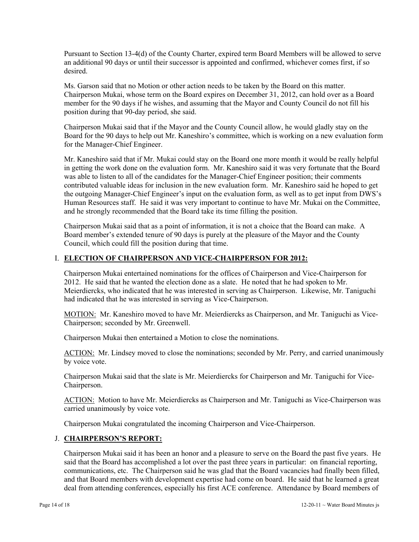Pursuant to Section 13-4(d) of the County Charter, expired term Board Members will be allowed to serve an additional 90 days or until their successor is appointed and confirmed, whichever comes first, if so desired.

Ms. Garson said that no Motion or other action needs to be taken by the Board on this matter. Chairperson Mukai, whose term on the Board expires on December 31, 2012, can hold over as a Board member for the 90 days if he wishes, and assuming that the Mayor and County Council do not fill his position during that 90-day period, she said.

Chairperson Mukai said that if the Mayor and the County Council allow, he would gladly stay on the Board for the 90 days to help out Mr. Kaneshiro's committee, which is working on a new evaluation form for the Manager-Chief Engineer.

Mr. Kaneshiro said that if Mr. Mukai could stay on the Board one more month it would be really helpful in getting the work done on the evaluation form. Mr. Kaneshiro said it was very fortunate that the Board was able to listen to all of the candidates for the Manager-Chief Engineer position; their comments contributed valuable ideas for inclusion in the new evaluation form. Mr. Kaneshiro said he hoped to get the outgoing Manager-Chief Engineer's input on the evaluation form, as well as to get input from DWS's Human Resources staff. He said it was very important to continue to have Mr. Mukai on the Committee, and he strongly recommended that the Board take its time filling the position.

Chairperson Mukai said that as a point of information, it is not a choice that the Board can make. A Board member's extended tenure of 90 days is purely at the pleasure of the Mayor and the County Council, which could fill the position during that time.

# I. **ELECTION OF CHAIRPERSON AND VICE-CHAIRPERSON FOR 2012:**

Chairperson Mukai entertained nominations for the offices of Chairperson and Vice-Chairperson for 2012. He said that he wanted the election done as a slate. He noted that he had spoken to Mr. Meierdiercks, who indicated that he was interested in serving as Chairperson. Likewise, Mr. Taniguchi had indicated that he was interested in serving as Vice-Chairperson.

MOTION: Mr. Kaneshiro moved to have Mr. Meierdiercks as Chairperson, and Mr. Taniguchi as Vice-Chairperson; seconded by Mr. Greenwell.

Chairperson Mukai then entertained a Motion to close the nominations.

ACTION: Mr. Lindsey moved to close the nominations; seconded by Mr. Perry, and carried unanimously by voice vote.

Chairperson Mukai said that the slate is Mr. Meierdiercks for Chairperson and Mr. Taniguchi for Vice-Chairperson.

ACTION: Motion to have Mr. Meierdiercks as Chairperson and Mr. Taniguchi as Vice-Chairperson was carried unanimously by voice vote.

Chairperson Mukai congratulated the incoming Chairperson and Vice-Chairperson.

### J. **CHAIRPERSON'S REPORT:**

Chairperson Mukai said it has been an honor and a pleasure to serve on the Board the past five years. He said that the Board has accomplished a lot over the past three years in particular: on financial reporting, communications, etc. The Chairperson said he was glad that the Board vacancies had finally been filled, and that Board members with development expertise had come on board. He said that he learned a great deal from attending conferences, especially his first ACE conference. Attendance by Board members of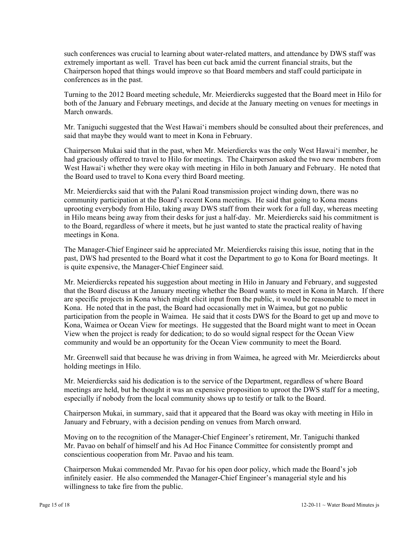such conferences was crucial to learning about water-related matters, and attendance by DWS staff was extremely important as well. Travel has been cut back amid the current financial straits, but the Chairperson hoped that things would improve so that Board members and staff could participate in conferences as in the past.

Turning to the 2012 Board meeting schedule, Mr. Meierdiercks suggested that the Board meet in Hilo for both of the January and February meetings, and decide at the January meeting on venues for meetings in March onwards.

Mr. Taniguchi suggested that the West Hawai'i members should be consulted about their preferences, and said that maybe they would want to meet in Kona in February.

Chairperson Mukai said that in the past, when Mr. Meierdiercks was the only West Hawai'i member, he had graciously offered to travel to Hilo for meetings. The Chairperson asked the two new members from West Hawai'i whether they were okay with meeting in Hilo in both January and February. He noted that the Board used to travel to Kona every third Board meeting.

Mr. Meierdiercks said that with the Palani Road transmission project winding down, there was no community participation at the Board's recent Kona meetings. He said that going to Kona means uprooting everybody from Hilo, taking away DWS staff from their work for a full day, whereas meeting in Hilo means being away from their desks for just a half-day. Mr. Meierdiercks said his commitment is to the Board, regardless of where it meets, but he just wanted to state the practical reality of having meetings in Kona.

The Manager-Chief Engineer said he appreciated Mr. Meierdiercks raising this issue, noting that in the past, DWS had presented to the Board what it cost the Department to go to Kona for Board meetings. It is quite expensive, the Manager-Chief Engineer said.

Mr. Meierdiercks repeated his suggestion about meeting in Hilo in January and February, and suggested that the Board discuss at the January meeting whether the Board wants to meet in Kona in March. If there are specific projects in Kona which might elicit input from the public, it would be reasonable to meet in Kona. He noted that in the past, the Board had occasionally met in Waimea, but got no public participation from the people in Waimea. He said that it costs DWS for the Board to get up and move to Kona, Waimea or Ocean View for meetings. He suggested that the Board might want to meet in Ocean View when the project is ready for dedication; to do so would signal respect for the Ocean View community and would be an opportunity for the Ocean View community to meet the Board.

Mr. Greenwell said that because he was driving in from Waimea, he agreed with Mr. Meierdiercks about holding meetings in Hilo.

Mr. Meierdiercks said his dedication is to the service of the Department, regardless of where Board meetings are held, but he thought it was an expensive proposition to uproot the DWS staff for a meeting, especially if nobody from the local community shows up to testify or talk to the Board.

Chairperson Mukai, in summary, said that it appeared that the Board was okay with meeting in Hilo in January and February, with a decision pending on venues from March onward.

Moving on to the recognition of the Manager-Chief Engineer's retirement, Mr. Taniguchi thanked Mr. Pavao on behalf of himself and his Ad Hoc Finance Committee for consistently prompt and conscientious cooperation from Mr. Pavao and his team.

Chairperson Mukai commended Mr. Pavao for his open door policy, which made the Board's job infinitely easier. He also commended the Manager-Chief Engineer's managerial style and his willingness to take fire from the public.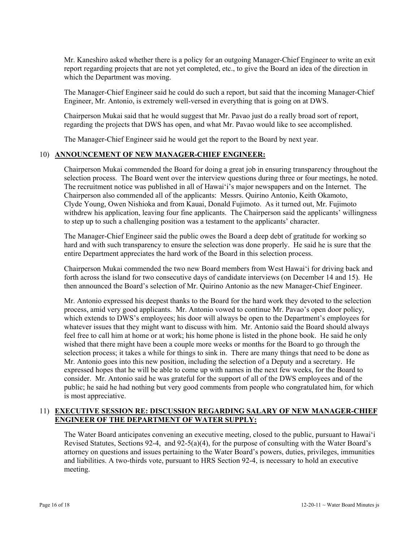Mr. Kaneshiro asked whether there is a policy for an outgoing Manager-Chief Engineer to write an exit report regarding projects that are not yet completed, etc., to give the Board an idea of the direction in which the Department was moving.

The Manager-Chief Engineer said he could do such a report, but said that the incoming Manager-Chief Engineer, Mr. Antonio, is extremely well-versed in everything that is going on at DWS.

Chairperson Mukai said that he would suggest that Mr. Pavao just do a really broad sort of report, regarding the projects that DWS has open, and what Mr. Pavao would like to see accomplished.

The Manager-Chief Engineer said he would get the report to the Board by next year.

# 10) **ANNOUNCEMENT OF NEW MANAGER-CHIEF ENGINEER:**

Chairperson Mukai commended the Board for doing a great job in ensuring transparency throughout the selection process. The Board went over the interview questions during three or four meetings, he noted. The recruitment notice was published in all of Hawai'i's major newspapers and on the Internet. The Chairperson also commended all of the applicants: Messrs. Quirino Antonio, Keith Okamoto, Clyde Young, Owen Nishioka and from Kauai, Donald Fujimoto. As it turned out, Mr. Fujimoto withdrew his application, leaving four fine applicants. The Chairperson said the applicants' willingness to step up to such a challenging position was a testament to the applicants' character.

The Manager-Chief Engineer said the public owes the Board a deep debt of gratitude for working so hard and with such transparency to ensure the selection was done properly. He said he is sure that the entire Department appreciates the hard work of the Board in this selection process.

Chairperson Mukai commended the two new Board members from West Hawai'i for driving back and forth across the island for two consecutive days of candidate interviews (on December 14 and 15). He then announced the Board's selection of Mr. Quirino Antonio as the new Manager-Chief Engineer.

Mr. Antonio expressed his deepest thanks to the Board for the hard work they devoted to the selection process, amid very good applicants. Mr. Antonio vowed to continue Mr. Pavao's open door policy, which extends to DWS's employees; his door will always be open to the Department's employees for whatever issues that they might want to discuss with him. Mr. Antonio said the Board should always feel free to call him at home or at work; his home phone is listed in the phone book. He said he only wished that there might have been a couple more weeks or months for the Board to go through the selection process; it takes a while for things to sink in. There are many things that need to be done as Mr. Antonio goes into this new position, including the selection of a Deputy and a secretary. He expressed hopes that he will be able to come up with names in the next few weeks, for the Board to consider. Mr. Antonio said he was grateful for the support of all of the DWS employees and of the public; he said he had nothing but very good comments from people who congratulated him, for which is most appreciative.

### 11) **EXECUTIVE SESSION RE: DISCUSSION REGARDING SALARY OF NEW MANAGER-CHIEF ENGINEER OF THE DEPARTMENT OF WATER SUPPLY:**

The Water Board anticipates convening an executive meeting, closed to the public, pursuant to Hawai'i Revised Statutes, Sections 92-4, and 92-5(a)(4), for the purpose of consulting with the Water Board's attorney on questions and issues pertaining to the Water Board's powers, duties, privileges, immunities and liabilities. A two-thirds vote, pursuant to HRS Section 92-4, is necessary to hold an executive meeting.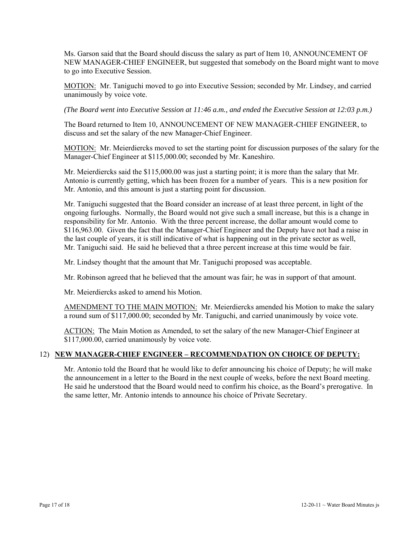Ms. Garson said that the Board should discuss the salary as part of Item 10, ANNOUNCEMENT OF NEW MANAGER-CHIEF ENGINEER, but suggested that somebody on the Board might want to move to go into Executive Session.

MOTION: Mr. Taniguchi moved to go into Executive Session; seconded by Mr. Lindsey, and carried unanimously by voice vote.

*(The Board went into Executive Session at 11:46 a.m., and ended the Executive Session at 12:03 p.m.)* 

The Board returned to Item 10, ANNOUNCEMENT OF NEW MANAGER-CHIEF ENGINEER, to discuss and set the salary of the new Manager-Chief Engineer.

MOTION: Mr. Meierdiercks moved to set the starting point for discussion purposes of the salary for the Manager-Chief Engineer at \$115,000.00; seconded by Mr. Kaneshiro.

Mr. Meierdiercks said the \$115,000.00 was just a starting point; it is more than the salary that Mr. Antonio is currently getting, which has been frozen for a number of years. This is a new position for Mr. Antonio, and this amount is just a starting point for discussion.

Mr. Taniguchi suggested that the Board consider an increase of at least three percent, in light of the ongoing furloughs. Normally, the Board would not give such a small increase, but this is a change in responsibility for Mr. Antonio. With the three percent increase, the dollar amount would come to \$116,963.00. Given the fact that the Manager-Chief Engineer and the Deputy have not had a raise in the last couple of years, it is still indicative of what is happening out in the private sector as well, Mr. Taniguchi said. He said he believed that a three percent increase at this time would be fair.

Mr. Lindsey thought that the amount that Mr. Taniguchi proposed was acceptable.

Mr. Robinson agreed that he believed that the amount was fair; he was in support of that amount.

Mr. Meierdiercks asked to amend his Motion.

AMENDMENT TO THE MAIN MOTION: Mr. Meierdiercks amended his Motion to make the salary a round sum of \$117,000.00; seconded by Mr. Taniguchi, and carried unanimously by voice vote.

ACTION: The Main Motion as Amended, to set the salary of the new Manager-Chief Engineer at \$117,000.00, carried unanimously by voice vote.

### 12) **NEW MANAGER-CHIEF ENGINEER – RECOMMENDATION ON CHOICE OF DEPUTY:**

Mr. Antonio told the Board that he would like to defer announcing his choice of Deputy; he will make the announcement in a letter to the Board in the next couple of weeks, before the next Board meeting. He said he understood that the Board would need to confirm his choice, as the Board's prerogative. In the same letter, Mr. Antonio intends to announce his choice of Private Secretary.